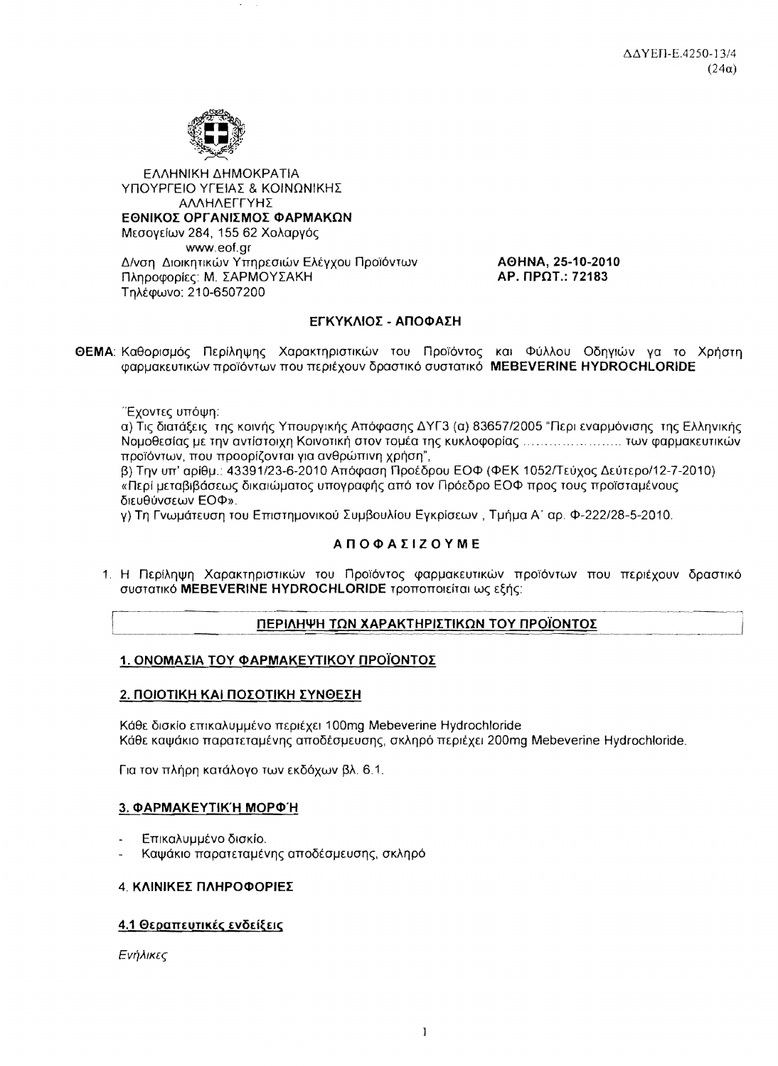

ΕΛΛΗΝΙΚΗ ΔΗΜΟΚΡΑΤΙΑ ΥΠΟΥΡΓΕΙΟ ΥΓΕΙΑΣ & ΚΟΙΝΩΝΙΚΗΣ ΑΛΛΗΛΕΓΓΥΗΣ ΕΘΝΙΚΟΣ ΟΡΓΑΝΙΣΜΟΣ ΦΑΡΜΑΚΩΝ Μεσονείων 284, 155 62 Χολαρνός www.eof.gr Δ/νση Διοικητικών Υπηρεσιών Ελέγχου Προϊόντων Πληροφορίες: Μ. ΣΑΡΜΟΥΣΑΚΗ Τηλέφωνο: 210-6507200

AOHNA, 25-10-2010 **AP. NPOT.: 72183** 

## ΕΓΚΥΚΛΙΟΣ - ΑΠΟΦΑΣΗ

ΘΕΜΑ: Καθορισμός Περίληψης Χαρακτηριστικών του Προϊόντος και Φύλλου Οδηγιών γα το Χρήστη φαρμακευτικών προϊόντων που περιέχουν δραστικό συστατικό MEBEVERINE HYDROCHLORIDE

Έχοντες υπόψη:

α) Τις διατάξεις της κοινής Υπουργικής Απόφασης ΔΥΓ3 (α) 83657/2005 "Περι εναρμόνισης της Ελληνικής Νομοθεσίας με την αντίστοιχη Κοινοτική στον τομέα της κυκλοφορίας .............................. των φαρμακευτικών προϊόντων, που προορίζονται για ανθρώπινη χρήση",

β) Την υπ' αρίθμ.: 43391/23-6-2010 Απόφαση Προέδρου ΕΟΦ (ΦΕΚ 1052/Τεύχος Δεύτερο/12-7-2010) «Περί μεταβιβάσεως δικαιώματος υπογραφής από τον Πρόεδρο ΕΟΦ προς τους προϊσταμένους διευθύνσεων ΕΟΦ».

γ) Τη Γνωμάτευση του Επιστημονικού Συμβουλίου Εγκρίσεων, Τμήμα Α΄ αρ. Φ-222/28-5-2010.

## **ΑΠΟΦΑΣΙΖΟΥΜΕ**

1. Η Περίληψη Χαρακτηριστικών του Προϊόντος φαρμακευτικών προϊόντων που περιέχουν δραστικό συστατικό MEBEVERINE HYDROCHLORIDE τροποποιείται ως εξής:

## ΠΕΡΙΛΗΨΗ ΤΩΝ ΧΑΡΑΚΤΗΡΙΣΤΙΚΩΝ ΤΟΥ ΠΡΟΪΟΝΤΟΣ

## 1. ΟΝΟΜΑΣΙΑ ΤΟΥ ΦΑΡΜΑΚΕΥΤΙΚΟΥ ΠΡΟΪΟΝΤΟΣ

## 2. ΠΟΙΟΤΙΚΗ ΚΑΙ ΠΟΣΟΤΙΚΗ ΣΥΝΘΕΣΗ

Κάθε δισκίο επικαλυμμένο περιέχει 100mg Mebeverine Hydrochloride Κάθε καψάκιο παρατεταμένης αποδέσμευσης, σκληρό περιέχει 200mg Mebeverine Hydrochloride,

Για τον πλήρη κατάλογο των εκδόχων βλ. 6.1.

## 3. ФАРМАКЕҮТІК'Н МОРФ'Н

- Επικαλυμμένο δισκίο.
- Καψάκιο παρατεταμένης αποδέσμευσης, σκληρό

## 4 ΚΛΙΝΙΚΕΣ ΠΛΗΡΟΦΟΡΙΕΣ

## 4.1 Θεραπευτικές ενδείξεις

Ενήλικες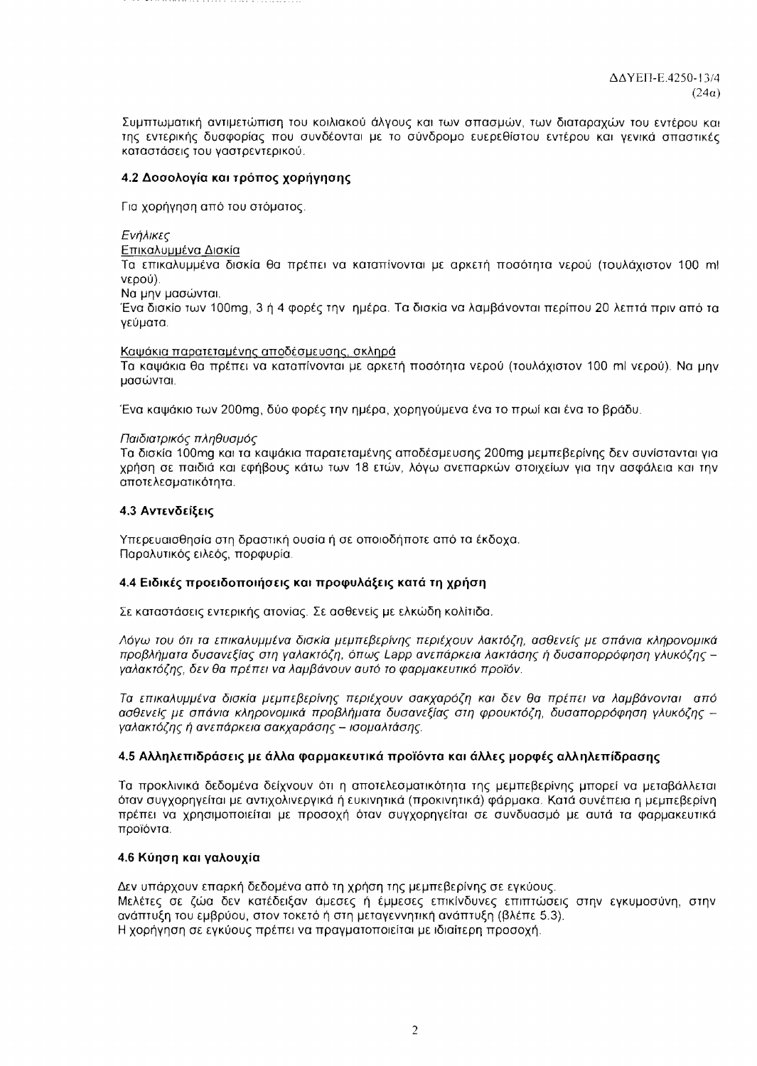Συμπτωματική αντιμετώπιση του κοιλιακού άλγους και των σπασμών, των διαταραχών του εντέρου και της εντερικής δυσφορίας που συνδέονται με το σύνδρομο ευερεθίστου εντέρου και γενικά σπαστικές καταστάσεις του γαστρεντερικού.

# 4.2 Δοσολογία και τρόπος χορήγησης

Για χορήγηση από του στόματος.

# Ενήλικες

# Επικαλυμμένα Δισκία

Τα επικαλυμμένα δισκία θα πρέπει να καταπίνονται με αρκετή ποσότητα νερού (τουλάχιστον 100 ml νερού).

Να μην μασώνται.

Ένα δισκίο των 100mg, 3 ή 4 φορές την ημέρα. Τα δισκία να λαμβάνονται περίπου 20 λεπτά πριν από τα γεύματα.

# Καψάκια παρατεταμένης αποδέσμευσης, σκληρά

Τα καψάκια θα πρέπει να καταπίνονται με αρκετή ποσότητα νερού (τουλάχιστον 100 ml νερού). Να μην μασώνται.

Ένα καψάκιο των 200mg, δύο φορές την ημέρα, χορηγούμενα ένα το πρωί και ένα το βράδυ.

# Παιδιατρικός πληθυσμός

Τα δισκία 100mg και τα καψάκια παρατεταμένης αποδέσμευσης 200mg μεμπεβερίνης δεν συνίστανται για χρήση σε παιδιά και εφήβους κάτω των 18 ετών, λόγω ανεπαρκών στοιχείων για την ασφάλεια και την αποτελεσματικότητα.

# 4.3 Αντενδείξεις

Υπερευαισθησία στη δραστική ουσία ή σε οποιοδήποτε από τα έκδοχα. Παραλυτικός ειλεός, πορφυρία.

# 4.4 Ειδικές προειδοποιήσεις και προφυλάξεις κατά τη χρήση

Σε καταστάσεις εντερικής ατονίας. Σε ασθενείς με ελκώδη κολίτιδα.

Λόγω του ότι τα επικαλυμμένα δισκία μεμπεβερίνης περιέχουν λακτόζη, ασθενείς με σπάνια κληρονομικά προβλήματα δυσανεξίας στη γαλακτόζη, όπως Lapp ανεπάρκεια λακτάσης ή δυσαπορρόφηση γλυκόζης – γαλακτόζης, δεν θα πρέπει να λαμβάνουν αυτό το φαρμακευτικό προϊόν.

Τα επικαλυμμένα δισκία μεμπεβερίνης περιέχουν σακχαρόζη και δεν θα πρέπει να λαμβάνονται από ασθενείς με σπάνια κληρονομικά προβλήματα δυσανεξίας στη φρουκτόζη, δυσαπορρόφηση γλυκόζης γαλακτόζης ή ανεπάρκεια σακχαράσης - ισομαλτάσης.

# 4.5 Αλληλεπιδράσεις με άλλα φαρμακευτικά προϊόντα και άλλες μορφές αλληλεπίδρασης

Τα προκλινικά δεδομένα δείχνουν ότι η αποτελεσματικότητα της μεμπεβερίνης μπορεί να μεταβάλλεται όταν συγχορηγείται με αντιχολινεργικά ή ευκινητικά (προκινητικά) φάρμακα. Κατά συνέπεια η μεμπεβερίνη πρέπει να χρησιμοποιείται με προσοχή όταν συγχορηγείται σε συνδυασμό με αυτά τα φαρμακευτικά προϊόντα.

# 4.6 Κύηση και γαλουχία

Δεν υπάρχουν επαρκή δεδομένα από τη χρήση της μεμπεβερίνης σε εγκύους. Μελέτες σε ζώα δεν κατέδειξαν άμεσες ή έμμεσες επικίνδυνες επιπτώσεις στην εγκυμοσύνη, στην ανάπτυξη του εμβρύου, στον τοκετό ή στη μεταγεννητική ανάπτυξη (βλέπε 5.3). Η χορήγηση σε εγκύους πρέπει να πραγματοποιείται με ιδιαίτερη προσοχή.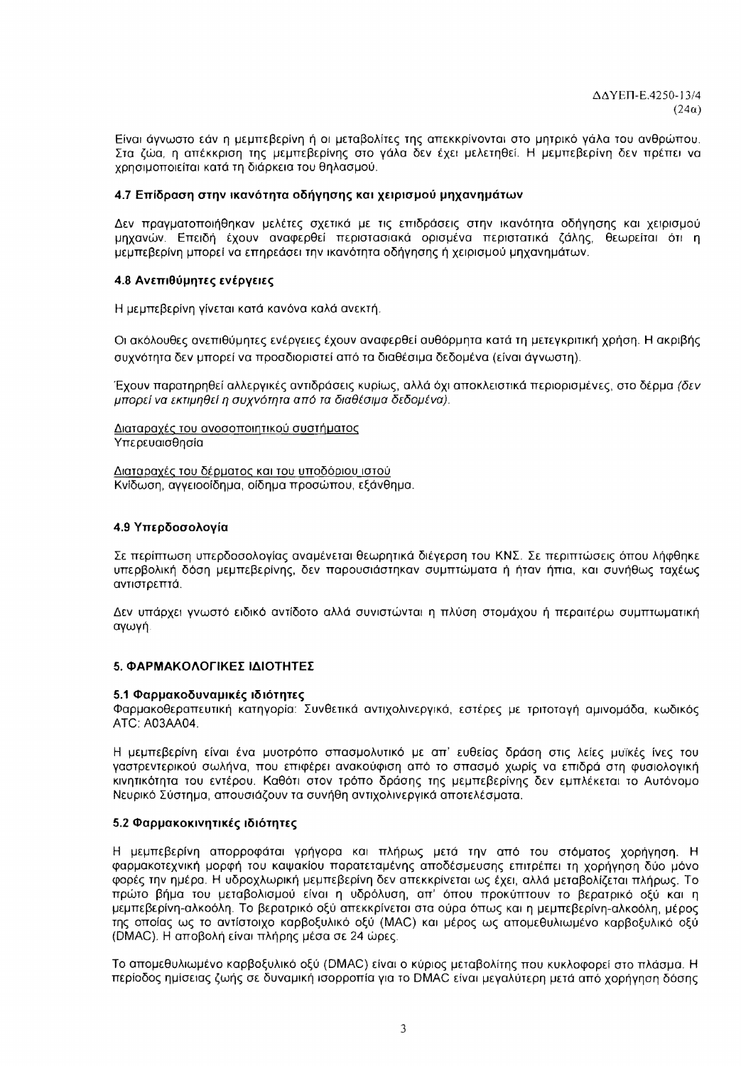Είναι άγνωστο εάν η μεμπεβερίνη ή οι μεταβολίτες της απεκκρίνονται στο μητρικό γάλα του ανθρώπου. Στα ζώα, η απέκκριση της μεμπεβερίνης στο γάλα δεν έχει μελετηθεί. Η μεμπεβερίνη δεν πρέπει να χρησιμοποιείται κατά τη διάρκεια του θηλασμού.

## 4.7 Επίδραση στην ικανότητα οδήγησης και χειρισμού μηχανημάτων

Δεν πραγματοποιήθηκαν μελέτες σχετικά με τις επιδράσεις στην ικανότητα οδήγησης και χειρισμού μηχανών. Επειδή έχουν αναφερθεί περιστασιακά ορισμένα περιστατικά ζάλης, θεωρείται ότι η μεμπεβερίνη μπορεί να επηρεάσει την ικανότητα οδήγησης ή χειρισμού μηχανημάτων.

## 4.8 Ανεπιθύμητες ενέργειες

Η μεμπεβερίνη γίνεται κατά κανόνα καλά ανεκτή.

Οι ακόλουθες ανεπιθύμητες ενέργειες έχουν αναφερθεί αυθόρμητα κατά τη μετεγκριτική χρήση. Η ακριβής συχνότητα δεν μπορεί να προσδιοριστεί από τα διαθέσιμα δεδομένα (είναι άγνωστη).

Έχουν παρατηρηθεί αλλεργικές αντιδράσεις κυρίως, αλλά όχι αποκλειστικά περιορισμένες, στο δέρμα (δεν μπορεί να εκτιμηθεί η συχνότητα από τα διαθέσιμα δεδομένα).

Διαταραχές του ανοσοποιητικού συστήματος Υπερευαισθησία

Διαταραχές του δέρματος και του υποδόριου ιστού Κνίδωση, αγγειοοίδημα, οίδημα προσώπου, εξάνθημα.

## 4.9 Υπερδοσολογία

Σε περίπτωση υπερδοσολογίας αναμένεται θεωρητικά διέγερση του ΚΝΣ. Σε περιπτώσεις όπου λήφθηκε υπερβολική δόση μεμπεβερίνης, δεν παρουσιάστηκαν συμπτώματα ή ήταν ήπια, και συνήθως ταχέως αντιστρεπτά.

Δεν υπάρχει γνωστό ειδικό αντίδοτο αλλά συνιστώνται η πλύση στομάχου ή περαιτέρω συμπτωματική αγωγή.

### 5. ΦΑΡΜΑΚΟΛΟΓΙΚΕΣ ΙΔΙΟΤΗΤΕΣ

### 5.1 Φαρμακοδυναμικές ιδιότητες

Φαρμακοθεραπευτική κατηγορία: Συνθετικά αντιχολινεργικά, εστέρες με τριτοταγή αμινομάδα, κωδικός ATC: A03AA04.

Η μεμπεβερίνη είναι ένα μυοτρόπο σπασμολυτικό με απ' ευθείας δράση στις λείες μυϊκές ίνες του γαστρεντερικού σωλήνα, που επιφέρει ανακούφιση από το σπασμό χωρίς να επιδρά στη φυσιολογική κινητικότητα του εντέρου. Καθότι στον τρόπο δράσης της μεμπεβερίνης δεν εμπλέκεται το Αυτόνομο Νευρικό Σύστημα, απουσιάζουν τα συνήθη αντιχολινεργικά αποτελέσματα.

## 5.2 Φαρμακοκινητικές ιδιότητες

Η μεμπεβερίνη απορροφάται γρήγορα και πλήρως μετά την από του στόματος χορήγηση. Η φαρμακοτεχνική μορφή του καψακίου παρατεταμένης αποδέσμευσης επιτρέπει τη χορήγηση δύο μόνο φορές την ημέρα. Η υδροχλωρική μεμπεβερίνη δεν απεκκρίνεται ως έχει, αλλά μεταβολίζεται πλήρως. Το πρώτο βήμα του μεταβολισμού είναι η υδρόλυση, απ' όπου προκύπτουν το βερατρικό οξύ και η μεμπεβερίνη-αλκοόλη. Το βερατρικό οξύ απεκκρίνεται στα ούρα όπως και η μεμπεβερίνη-αλκοόλη, μέρος της οποίας ως το αντίστοιχο καρβοξυλικό οξύ (ΜΑC) και μέρος ως απομεθυλιωμένο καρβοξυλικό οξύ (DMAC). Η αποβολή είναι πλήρης μέσα σε 24 ώρες.

Το απομεθυλιωμένο καρβοξυλικό οξύ (DMAC) είναι ο κύριος μεταβολίτης που κυκλοφορεί στο πλάσμα. Η περίοδος ημίσειας ζωής σε δυναμική ισορροπία για το DMAC είναι μεγαλύτερη μετά από χορήγηση δόσης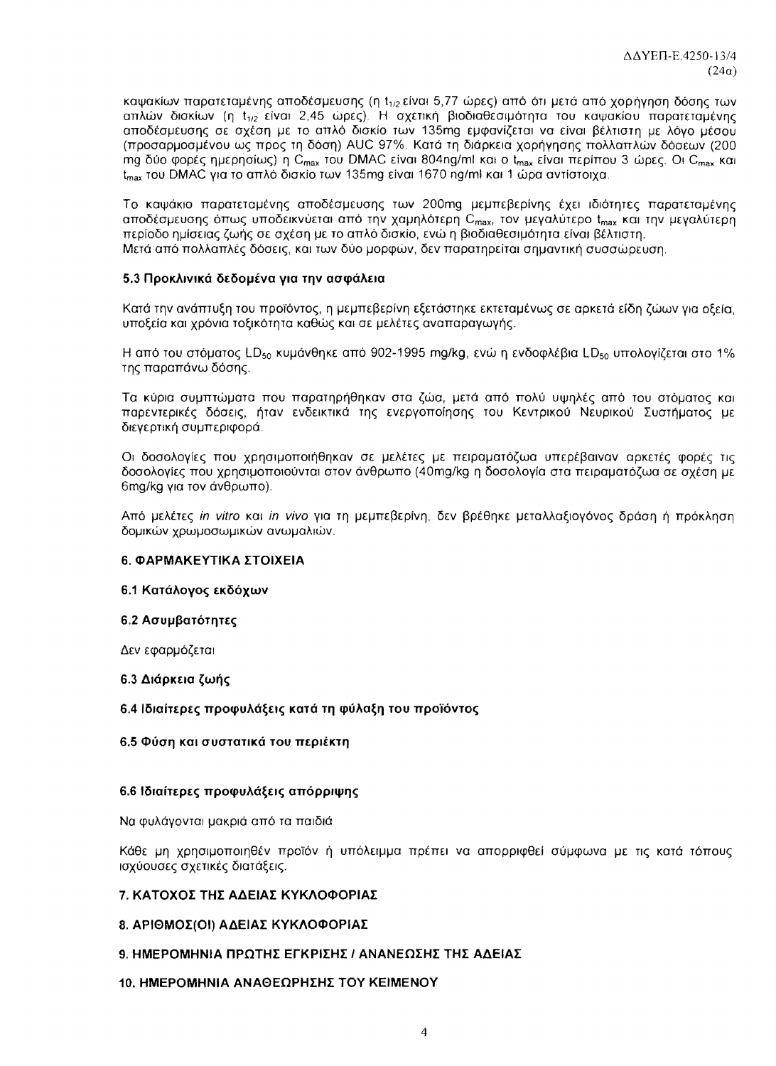καψακίων παρατεταμένης αποδέσμευσης (η t<sub>1/2</sub> είναι 5,77 ώρες) από ότι μετά από χορήγηση δόσης των απλών δισκίων (η t<sub>1/2</sub> είναι 2,45 ώρες). Η σχετική βιοδιαθεσιμότητα του καψακίου παρατεταμένης αποδέσμευσης σε σχέση με το απλό δισκίο των 135mg εμφανίζεται να είναι βέλτιστη με λόγο μέσου (προσαρμοσμένου ως προς τη δόση) AUC 97%. Κατά τη διάρκεια χορήγησης πολλαπλών δόσεων (200 mg δύο φορές ημερησίως) η C<sub>max</sub> του DMAC είναι 804ng/ml και ο t<sub>max</sub> είναι περίπου 3 ώρες. Οι C<sub>max</sub> και t<sub>πεν</sub> του DMAC για το απλό δισκίο των 135mg είναι 1670 ng/ml και 1 ώρα αντίστοιχα.

Το καψάκιο παρατεταμένης αποδέσμευσης των 200mg μεμπεβερίνης έχει ιδιότητες παρατεταμένης αποδέσμευσης όπως υποδεικνύεται από την χαμηλότερη C<sub>max</sub>, τον μεγαλύτερο t<sub>max</sub> και την μεγαλύτερη περίοδο ημίσειας ζωής σε σχέση με το απλό δισκίο, ενώ η βιοδιαθεσιμότητα είναι βέλτιστη. Μετά από πολλαπλές δόσεις, και των δύο μορφών, δεν παρατηρείται σημαντική συσσώρευση.

## 5.3 Προκλινικά δεδομένα νια την ασφάλεια

Κατά την ανάπτυξη του προϊόντος, η μεμπεβερίνη εξετάστηκε εκτεταμένως σε αρκετά είδη ζώων για οξεία, υποξεία και χρόνια τοξικότητα καθώς και σε μελέτες αναπαραγωγής.

Η από του στόματος LD<sub>50</sub> κυμάνθηκε από 902-1995 ma/kg, ενώ η ενδοφλέβια LD<sub>50</sub> υπολογίζεται στο 1% της παραπάνω δόσης.

Τα κύρια συμπτώματα που παρατηρήθηκαν στα ζώα, μετά από πολύ υψηλές από του στόματος και παρεντερικές δόσεις, ήταν ενδεικτικά της ενεργοποίησης του Κεντρικού Νευρικού Συστήματος με διεγερτική συμπεριφορά.

Οι δοσολογίες που χρησιμοποιήθηκαν σε μελέτες με πειραματόζωα υπερέβαιναν αρκετές φορές τις δοσολογίες που χρησιμοποιούνται στον άνθρωπο (40mg/kg η δοσολογία στα πειραματόζωα σε σχέση με 6mg/kg για τον άνθρωπο).

Από μελέτες in vitro και in vivo για τη μεμπεβερίνη, δεν βρέθηκε μεταλλαξιογόνος δράση ή πρόκληση δομικών χρωμοσωμικών ανωμαλιών.

## 6. ΦΑΡΜΑΚΕΥΤΙΚΑ ΣΤΟΙΧΕΙΑ

## 6.1 Κατάλογος εκδόχων

## 6.2 Ασυμβατότητες

Δεν εφαρμόζεται

## 6.3 Διάρκεια ζωής

## 6.4 Ιδιαίτερες προφυλάξεις κατά τη φύλαξη του προϊόντος

## 6.5 Φύση και συστατικά του περιέκτη

## 6.6 Ιδιαίτερες προφυλάξεις απόρριψης

Να φυλάγονται μακριά από τα παιδιά

Κάθε μη χρησιμοποιηθέν προϊόν ή υπόλειμμα πρέπει να απορριφθεί σύμφωνα με τις κατά τόπους ισχύουσες σχετικές διατάξεις.

## 7. ΚΑΤΟΧΟΣ ΤΗΣ ΑΔΕΙΑΣ ΚΥΚΛΟΦΟΡΙΑΣ

## 8. ΑΡΙΘΜΟΣ(ΟΙ) ΑΔΕΙΑΣ ΚΥΚΛΟΦΟΡΙΑΣ

## 9. ΗΜΕΡΟΜΗΝΙΑ ΠΡΩΤΗΣ ΕΓΚΡΙΣΗΣ / ΑΝΑΝΕΩΣΗΣ ΤΗΣ ΑΔΕΙΑΣ

## 10. ΗΜΕΡΟΜΗΝΙΑ ΑΝΑΘΕΩΡΗΣΗΣ ΤΟΥ ΚΕΙΜΕΝΟΥ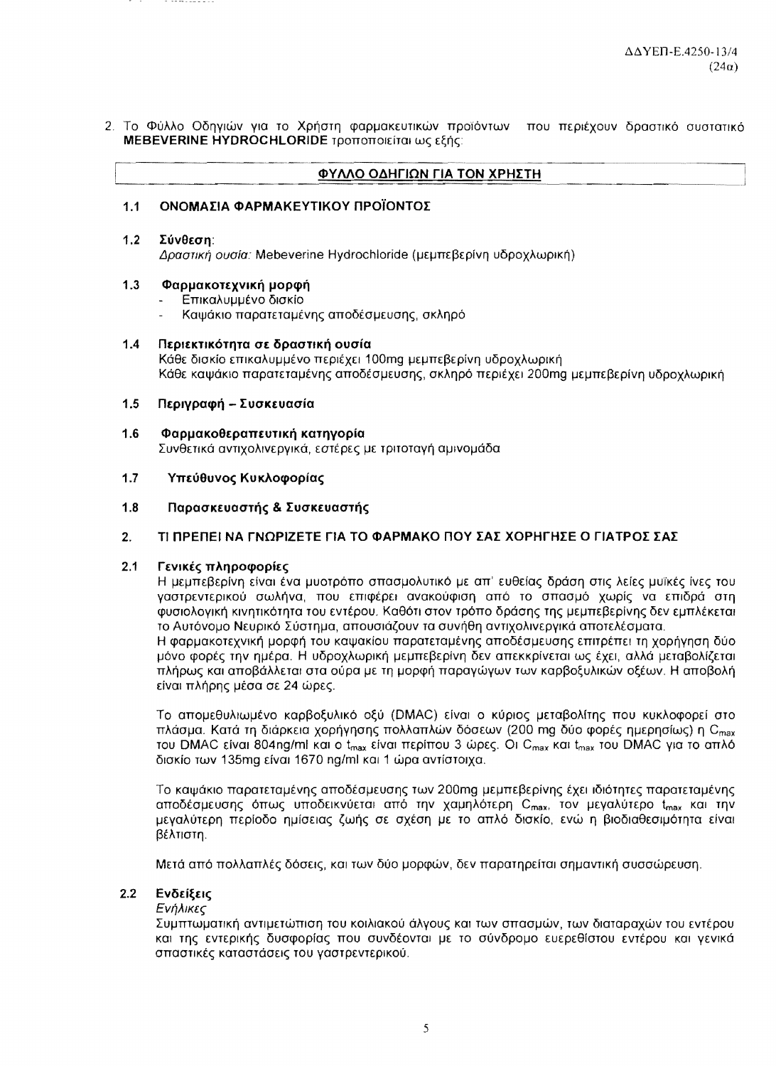2. Το Φύλλο Οδηγιών για το Χρήστη φαρμακευτικών προϊόντων που περιέχουν δραστικό συστατικό MEBEVERINE HYDROCHLORIDE τροποποιείται ως εξής:

|  | ΦΥΛΛΟ ΟΔΗΓΙΩΝ ΓΙΑ ΤΟΝ ΧΡΗΣΤΗ |  |
|--|------------------------------|--|
|  |                              |  |

### ΟΝΟΜΑΣΙΑ ΦΑΡΜΑΚΕΥΤΙΚΟΥ ΠΡΟΪΟΝΤΟΣ  $1.1$

 $12$ Σύνθεση:

Δραστική ουσία: Mebeverine Hydrochloride (μεμπεβερίνη υδροχλωρική)

### $1.3$ Φαρμακοτεχνική μορφή

- Επικαλυμμένο δισκίο
- Καψάκιο παρατεταμένης αποδέσμευσης, σκληρό

### $1.4$ Περιεκτικότητα σε δραστική ουσία Κάθε δισκίο επικαλυμμένο περιέχει 100mg μεμπεβερίνη υδροχλωρική Κάθε καψάκιο παρατεταμένης αποδέσμευσης, σκληρό περιέχει 200mg μεμπεβερίνη υδροχλωρική

### $1.5$ Περιγραφή – Συσκευασία

### $1.6$ Φαρμακοθεραπευτική κατηγορία Συνθετικά αντιχολινερνικά, εστέρες με τριτοτανή αμινομάδα

### $1.7$ Υπεύθυνος Κυκλοφορίας

### $1.8$ Παρασκευαστής & Συσκευαστής

### ΤΙ ΠΡΕΠΕΙ ΝΑ ΓΝΩΡΙΖΕΤΕ ΓΙΑ ΤΟ ΦΑΡΜΑΚΟ ΠΟΥ ΣΑΣ ΧΟΡΗΓΗΣΕ Ο ΓΙΑΤΡΟΣ ΣΑΣ  $2<sub>1</sub>$

### $2.1$ Γενικές πληροφορίες

Η μεμπεβερίνη είναι ένα μυστρόπο σπασμολυτικό με απ' ευθείας δράση στις λείες μυϊκές ίνες του γαστρεντερικού σωλήνα, που επιφέρει ανακούφιση από το σπασμό χωρίς να επιδρά στη φυσιολογική κινητικότητα του εντέρου. Καθότι στον τρόπο δράσης της μεμπεβερίνης δεν εμπλέκεται το Αυτόνουο Νευρικό Σύστημα, απουσιάζουν τα συνήθη αντιχολινεργικά αποτελέσματα. Η φαρμακοτεχνική μορφή του καψακίου παρατεταμένης αποδέσμευσης επιτρέπει τη χορήγηση δύο μόνο φορές την ημέρα. Η υδροχλωρική μεμπεβερίνη δεν απεκκρίνεται ως έχει, αλλά μεταβολίζεται πλήρως και αποβάλλεται στα ούρα με τη μορφή παραγώγων των καρβοξυλικών οξέων. Η αποβολή είναι πλήρης μέσα σε 24 ώρες.

Το απομεθυλιωμένο καρβοξυλικό οξύ (DMAC) είναι ο κύριος μεταβολίτης που κυκλοφορεί στο πλάσμα. Κατά τη διάρκεια χορήγησης πολλαπλών δόσεων (200 mg δύο φορές ημερησίως) η C<sub>max</sub> του DMAC είναι 804ng/ml και ο t<sub>max</sub> είναι περίπου 3 ώρες. Οι C<sub>max</sub> και t<sub>max</sub> του DMAC για το απλό δισκίο των 135mg είναι 1670 ng/ml και 1 ώρα αντίστοιχα.

Το καψάκιο παρατεταμένης αποδέσμευσης των 200mg μεμπεβερίνης έχει ιδιότητες παρατεταμένης αποδέσμευσης όπως υποδεικνύεται από την χαμηλότερη C<sub>max</sub>, τον μεγαλύτερο t<sub>max</sub> και την μεγαλύτερη περίοδο ημίσειας ζωής σε σχέση με το απλό δισκίο, ενώ η βιοδιαθεσιμότητα είναι βέλτιστη.

Μετά από πολλαπλές δόσεις, και των δύο μορφών, δεν παρατηρείται σημαντική συσσώρευση,

### $2.2$ Ενδείξεις

# Ενήλικες

Συμπτωματική αντιμετώπιση του κοιλιακού άλγους και των σπασμών, των διαταραχών του εντέρου και της εντερικής δυσφορίας που συνδέονται με το σύνδρομο ευερεθίστου εντέρου και γενικά σπαστικές καταστάσεις του γαστρεντερικού.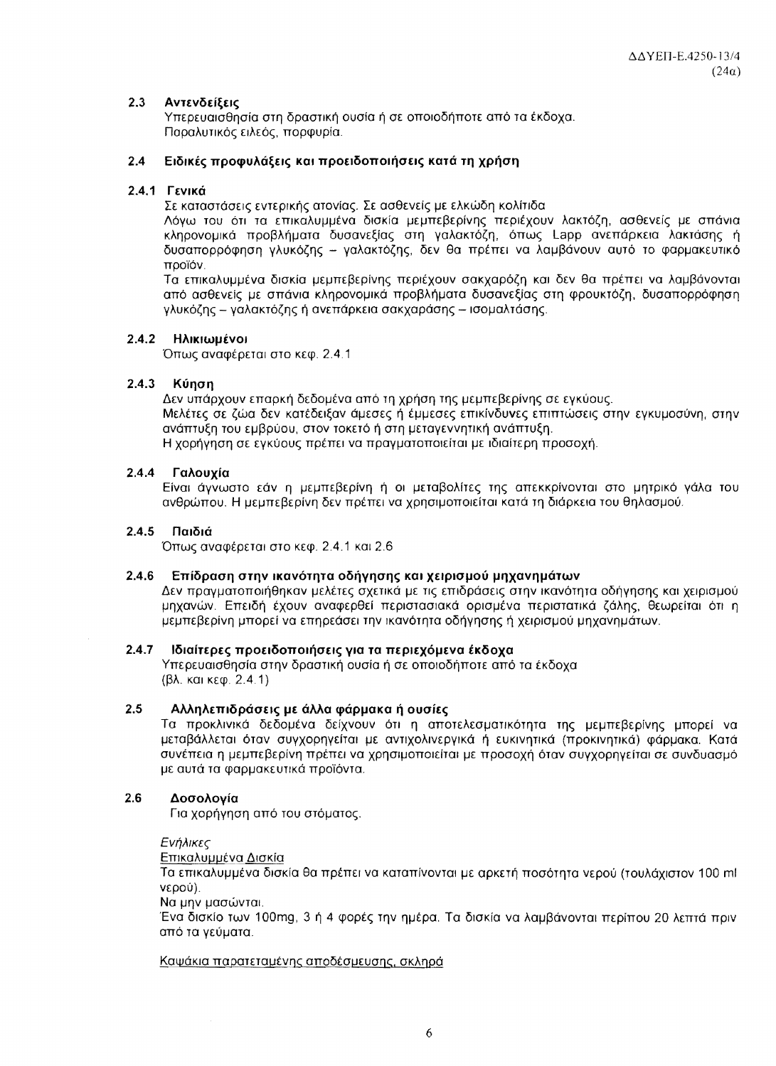### $2.3$ Αντενδείξεις

Υπερευαισθησία στη δραστική ουσία ή σε οποιοδήποτε από τα έκδοχα. Παραλυτικός ειλεός, πορφυρία.

### $2.4$ Ειδικές προφυλάξεις και προειδοποιήσεις κατά τη χρήση

## 2.4.1 Γενικά

Σε καταστάσεις εντερικής ατονίας. Σε ασθενείς με ελκώδη κολίτιδα

Λόγω του ότι τα επικαλυμμένα δισκία μεμπεβερίνης περιέχουν λακτόζη, ασθενείς με σπάνια κληρονομικά προβλήματα δυσανεξίας στη γαλακτόζη, όπως Lapp ανεπάρκεια λακτάσης ή δυσαπορρόφηση γλυκόζης - γαλακτόζης, δεν θα πρέπει να λαμβάνουν αυτό το φαρμακευτικό ποοϊόν.

Τα επικαλυμμένα δισκία μεμπεβερίνης περιέχουν σακχαρόζη και δεν θα πρέπει να λαμβάνονται από ασθενείς με σπάνια κληρονομικά προβλήματα δυσανεξίας στη φρουκτόζη, δυσαπορρόφηση γλυκόζης – γαλακτόζης ή ανεπάρκεια σακχαράσης – ισομαλτάσης.

## 2.4.2 HAIKIWHÉVOI

Όπως αναφέρεται στο κεφ. 2.4.1

### $2.4.3$ Κύηση

Δεν υπάρχουν επαρκή δεδομένα από τη χρήση της μεμπεβερίνης σε εγκύους. Μελέτες σε ζώα δεν κατέδειξαν άμεσες ή έμμεσες επικίνδυνες επιπτώσεις στην εγκυμοσύνη, στην ανάπτυξη του εμβρύου, στον τοκετό ή στη μεταγεννητική ανάπτυξη. Η χορήγηση σε εγκύους πρέπει να πραγματοποιείται με ιδιαίτερη προσοχή.

### $2.4.4$ Γαλουγία

Είναι άγνωστο εάν η μεμπεβερίνη ή οι μεταβολίτες της απεκκρίνονται στο μητρικό γάλα του ανθρώπου. Η μεμπεβερίνη δεν πρέπει να χρησιμοποιείται κατά τη διάρκεια του θηλασμού.

## 2.4.5 Παιδιά

Όπως αναφέρεται στο κεφ. 2.4.1 και 2.6

## 2.4.6 Επίδραση στην ικανότητα οδήγησης και χειρισμού μηχανημάτων

Δεν πραγματοποιήθηκαν μελέτες σχετικά με τις επιδράσεις στην ικανότητα οδήγησης και χειρισμού μηχανών. Επειδή έχουν αναφερθεί περιστασιακά ορισμένα περιστατικά ζάλης, θεωρείται ότι η μεμπεβερίνη μπορεί να επηρεάσει την ικανότητα οδήγησης ή χειρισμού μηχανημάτων.

## 2.4.7 Ιδιαίτερες προειδοποιήσεις για τα περιεχόμενα έκδοχα

Υπερευαισθησία στην δραστική ουσία ή σε οποιοδήποτε από τα έκδοχα (βλ. και κεφ. 2.4.1)

### $2.5$ Αλληλεπιδράσεις με άλλα φάρμακα ή ουσίες

Τα προκλινικά δεδομένα δείχνουν ότι η αποτελεσματικότητα της μεμπεβερίνης μπορεί να μεταβάλλεται όταν συγχορηγείται με αντιχολινεργικά ή ευκινητικά (προκινητικά) φάρμακα. Κατά συνέπεια η μεμπεβερίνη πρέπει να χρησιμοποιείται με προσοχή όταν συγχορηγείται σε συνδυασμό με αυτά τα φαρμακευτικά προϊόντα.

### $2.6$ Δοσολογία

Για χορήγηση από του στόματος.

Ενήλικες

Επικαλυμμένα Δισκία

Τα επικαλυμμένα δισκία θα πρέπει να καταπίνονται με αρκετή ποσότητα νερού (τουλάχιστον 100 ml νερού).

Να μην μασώνται.

Ένα δισκίο των 100mg, 3 ή 4 φορές την ημέρα. Τα δισκία να λαμβάνονται περίπου 20 λεπτά πριν από τα νεύματα.

## Καψάκια παρατεταμένης αποδέσμευσης, σκληρά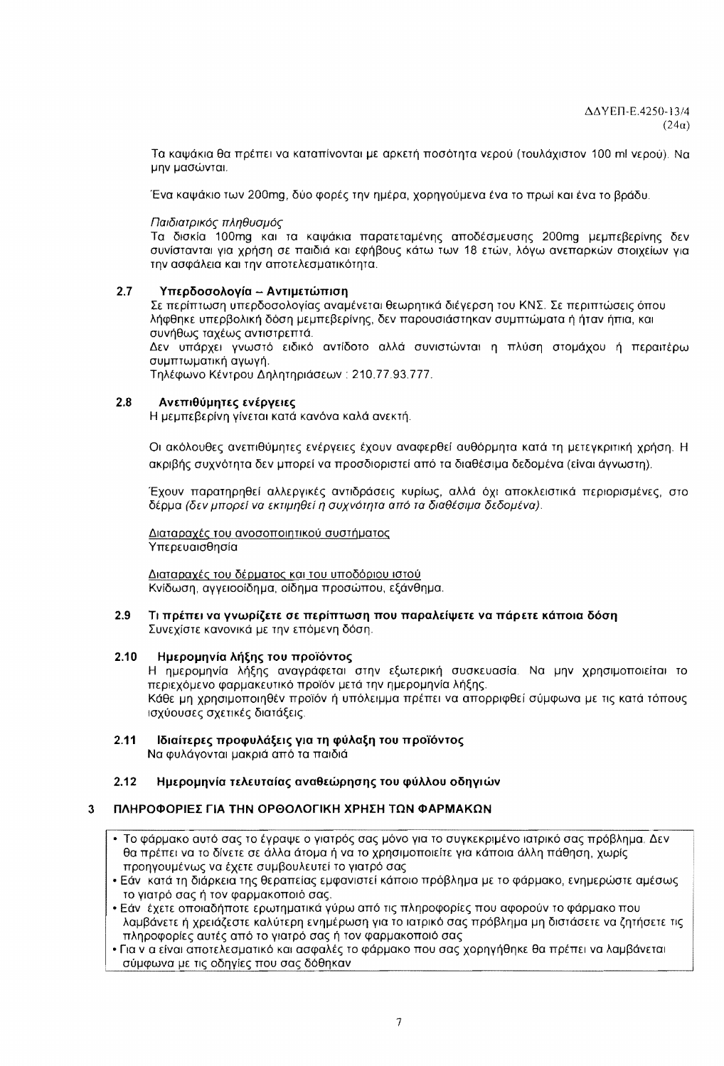Τα καψάκια θα πρέπει να καταπίνονται με αρκετή ποσότητα νερού (τουλάχιστον 100 ml νερού). Να μην μασώνται.

Ένα καψάκιο των 200mg, δύο φορές την ημέρα, χορηγούμενα ένα το πρωί και ένα το βράδυ.

Παιδιατρικός πληθυσμός

Τα δισκία 100mg και τα καψάκια παρατεταμένης αποδέσμευσης 200mg μεμπεβερίνης δεν συνίστανται για χρήση σε παιδιά και εφήβους κάτω των 18 ετών, λόγω ανεπαρκών στοιχείων για την ασφάλεια και την αποτελεσματικότητα.

### $2.7$ Υπερδοσολογία -- Αντιμετώπιση

Σε περίπτωση υπερδοσολογίας αναμένεται θεωρητικά διέγερση του ΚΝΣ. Σε περιπτώσεις όπου λήφθηκε υπερβολική δόση μεμπεβερίνης, δεν παρουσιάστηκαν συμπτώματα ή ήταν ήπια, και συνήθως ταχέως αντιστρεπτά.

Δεν υπάρχει γνωστό ειδικό αντίδοτο αλλά συνιστώνται η πλύση στομάχου ή περαιτέρω συμπτωματική αγωγή.

Τηλέφωνο Κέντρου Δηλητηριάσεων: 210.77.93.777.

### $2.8$ Ανεπιθύμητες ενέργειες

Η μεμπεβερίνη γίνεται κατά κανόνα καλά ανεκτή.

Οι ακόλουθες ανεπιθύμητες ενέργειες έχουν αναφερθεί αυθόρμητα κατά τη μετεγκριτική χρήση. Η ακριβής συχνότητα δεν μπορεί να προσδιοριστεί από τα διαθέσιμα δεδομένα (είναι άγνωστη).

Έχουν παρατηρηθεί αλλεργικές αντιδράσεις κυρίως, αλλά όχι αποκλειστικά περιορισμένες, στο δέρμα (δεν μπορεί να εκτιμηθεί η συχνότητα από τα διαθέσιμα δεδομένα).

Διαταραχές του ανοσοποιητικού συστήματος Υπερευαισθησία

Διαταραχές του δέρματος και του υποδόριου ιστού Κνίδωση, αγγειοοίδημα, οίδημα προσώπου, εξάνθημα.

### $2.9$ Τι πρέπει να γνωρίζετε σε περίπτωση που παραλείψετε να πάρετε κάποια δόση Συνεχίστε κανονικά με την επόμενη δόση.

### $2.10$ Ημερομηνία λήξης του προϊόντος

Η ημερομηνία λήξης αναγράφεται στην εξωτερική συσκευασία. Να μην χρησιμοποιείται το περιεχόμενο φαρμακευτικό προϊόν μετά την ημερομηνία λήξης. Κάθε μη χρησιμοποιηθέν προϊόν ή υπόλειμμα πρέπει να απορριφθεί σύμφωνα με τις κατά τόπους ισχύουσες σχετικές διατάξεις.

 $2.11$ Ιδιαίτερες προφυλάξεις για τη φύλαξη του προϊόντος Να φυλάγονται μακριά από τα παιδιά

### $2.12$ Ημερομηνία τελευταίας αναθεώρησης του φύλλου οδηγιών

### ΠΛΗΡΟΦΟΡΙΕΣ ΓΙΑ ΤΗΝ ΟΡΘΟΛΟΓΙΚΗ ΧΡΗΣΗ ΤΩΝ ΦΑΡΜΑΚΩΝ  $\mathbf{R}$

- Το φάρμακο αυτό σας το έγραψε ο γιατρός σας μόνο για το συγκεκριμένο ιατρικό σας πρόβλημα. Δεν θα πρέπει να το δίνετε σε άλλα άτομα ή να το χρησιμοποιείτε για κάποια άλλη πάθηση, χωρίς προηγουμένως να έχετε συμβουλευτεί το γιατρό σας
- Εάν κατά τη διάρκεια της θεραπείας εμφανιστεί κάποιο πρόβλημα με το φάρμακο, ενημερώστε αμέσως το γιατρό σας ή τον φαρμακοποιό σας.
- Εάν έχετε οποιαδήποτε ερωτηματικά γύρω από τις πληροφορίες που αφορούν το φάρμακο που λαμβάνετε ή χρειάζεστε καλύτερη ενημέρωση για το ιατρικό σας πρόβλημα μη διστάσετε να ζητήσετε τις πληροφορίες αυτές από το γιατρό σας ή τον φαρμακοποιό σας
- Για ν α είναι αποτελεσματικό και ασφαλές το φάρμακο που σας χορηγήθηκε θα πρέπει να λαμβάνεται σύμφωνα με τις οδηγίες που σας δόθηκαν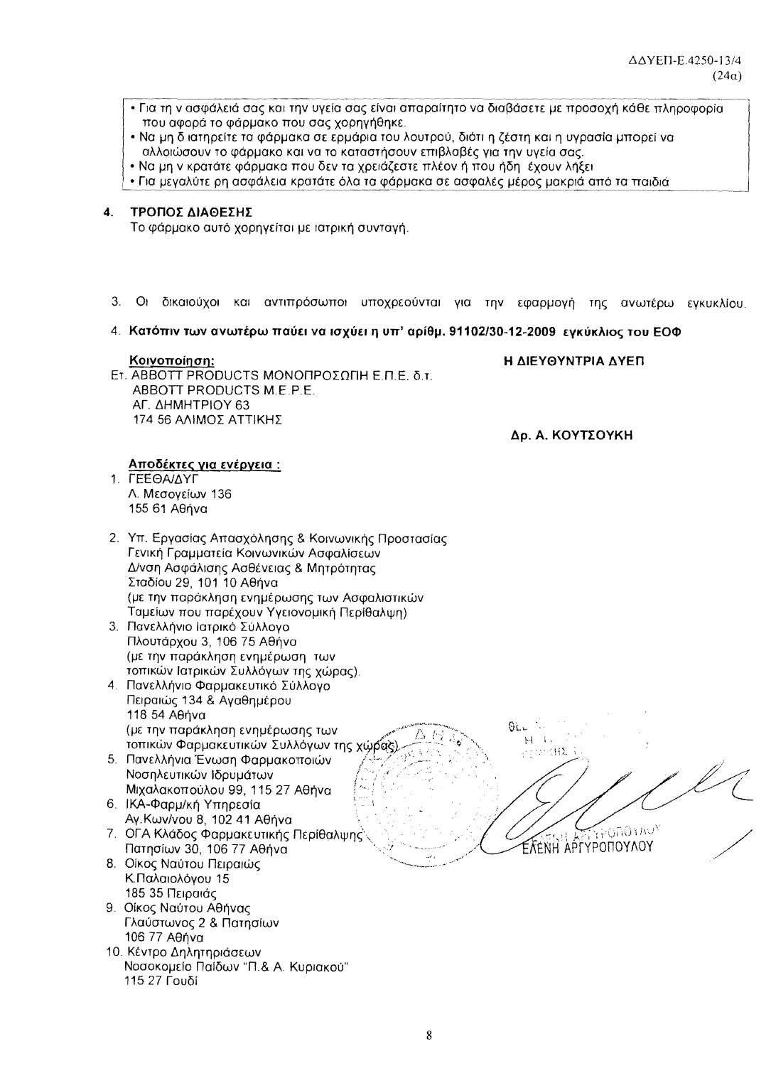- Για τη ν ασφάλειά σας και την υγεία σας είναι απαραίτητο να διαβάσετε με προσοχή κάθε πληροφορία που αφορά το φάρμακο που σας χορηγήθηκε.
- Να μη διατηρείτε τα φάρμακα σε ερμάρια του λουτρού, διότι η ζέστη και η υγρασία μπορεί να αλλοιώσουν το φάρμακο και να το καταστήσουν επιβλαβές για την υγεία σας.
- Να μη ν κρατάτε φάρμακα που δεν τα χρειάζεστε πλέον ή που ήδη έχουν λήξει
- Για μεγαλύτε ρη ασφάλεια κρατάτε όλα τα φάρμακα σε ασφαλές μέρος μακριά από τα παιδιά

### ΤΡΟΠΟΣ ΔΙΑΘΕΣΗΣ  $\mathbf{4}$ .

Το φάρμακο αυτό χορηνείται με ιατρική συντανή.

- $3<sub>1</sub>$ Οι δικαιούχοι και αντιπρόσωποι υποχρεούνται για την εφαρμογή της ανωτέρω εγκυκλίου,
- 4. Κατόπιν των ανωτέρω παύει να ισχύει η υπ' αρίθμ. 91102/30-12-2009 εγκύκλιος του ΕΟΦ

### Κοινοποίηση:

Η ΔΙΕΥΘΥΝΤΡΙΑ ΔΥΕΠ

Ετ. ΑΒΒΟΤΤ PRODUCTS ΜΟΝΟΠΡΟΣΩΠΗ Ε.Π.Ε. δ.τ. ABBOTT PRODUCTS M.E.P.E. ΑΓ. ΔΗΜΗΤΡΙΟΥ 63 174 56 ΑΛΙΜΟΣ ΑΤΤΙΚΗΣ

Δρ. Α. ΚΟΥΤΣΟΥΚΗ

Αποδέκτες για ενέργεια : 1. ΓΕΕΘΑ/ΔΥΓ

Λ. Μεσονείων 136 155 61 Αθήνα

- 2. Υπ. Εργασίας Απασχόλησης & Κοινωνικής Προστασίας Γενική Γραμματεία Κοινωνικών Ασφαλίσεων Δ/νση Ασφάλισης Ασθένειας & Μητρότητας Σταδίου 29, 101 10 Αθήνα (με την παράκληση ενημέρωσης των Ασφαλιστικών Ταμείων που παρέχουν Υγειονομική Περίθαλψη)
- 3. Πανελλήνιο Ιατρικό Σύλλογο Πλουτάρχου 3, 106 75 Αθήνα (με την παράκληση ενημέρωση των τοπικών Ιατρικών Συλλόγων της χώρας).
- 4. Πανελλήνιο Φαρμακευτικό Σύλλονο Πειραιώς 134 & Αγαθημέρου 118 54 Aθήνα (με την παράκληση ενημέρωσης των τοπικών Φαρμακευτικών Συλλόγων της χώρας)
- 5. Πανελλήνια Ένωση Φαρμακοποιών Νοσηλευτικών Ιδρυμάτων Μιχαλακοπούλου 99, 115 27 Αθήνα
- 6. ΙΚΑ-Φαρμ/κή Υπηρεσία Αγ. Κων/νου 8, 102 41 Αθήνα
- 7. ΟΓΑ Κλάδος Φαρμακευτικής Περίθαλψης Πατησίων 30, 106 77 Αθήνα
- 8. Οίκος Ναύτου Πειραιώς Κ.Παλαιολόγου 15 185 35 Πειραιάς
- 9. Οίκος Ναύτου Αθήνας Γλαύστωνος 2 & Πατησίων 106 77 Αθήνα
- 10. Κέντρο Δηλητηριάσεων Νοσοκομείο Παίδων "Π.& Α. Κυριακού" 115 27 Γουδί

 $61.1$  $\mathbb{H} \to \mathbb{R}$ seizBS. OAOTINU<sup>y</sup> ΈλεΝΗ ΑΡΓΥΡΟΠΟΥΛΟΥ